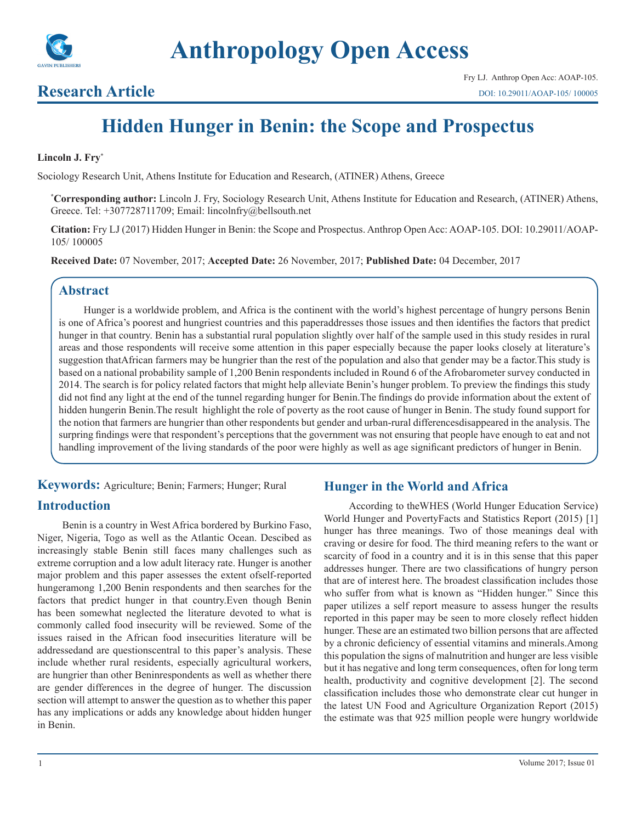

# **Research Article**

# **Hidden Hunger in Benin: the Scope and Prospectus**

#### **Lincoln J. Fry\***

Sociology Research Unit, Athens Institute for Education and Research, (ATINER) Athens, Greece

**\* Corresponding author:** Lincoln J. Fry, Sociology Research Unit, Athens Institute for Education and Research, (ATINER) Athens, Greece. Tel: +307728711709; Email: lincolnfry@bellsouth.net

**Citation:** Fry LJ (2017) Hidden Hunger in Benin: the Scope and Prospectus. Anthrop Open Acc: AOAP-105. DOI: 10.29011/AOAP-105/ 100005

**Received Date:** 07 November, 2017; **Accepted Date:** 26 November, 2017; **Published Date:** 04 December, 2017

# **Abstract**

Hunger is a worldwide problem, and Africa is the continent with the world's highest percentage of hungry persons Benin is one of Africa's poorest and hungriest countries and this paperaddresses those issues and then identifies the factors that predict hunger in that country. Benin has a substantial rural population slightly over half of the sample used in this study resides in rural areas and those respondents will receive some attention in this paper especially because the paper looks closely at literature's suggestion thatAfrican farmers may be hungrier than the rest of the population and also that gender may be a factor.This study is based on a national probability sample of 1,200 Benin respondents included in Round 6 of the Afrobarometer survey conducted in 2014. The search is for policy related factors that might help alleviate Benin's hunger problem. To preview the findings this study did not find any light at the end of the tunnel regarding hunger for Benin.The findings do provide information about the extent of hidden hungerin Benin. The result highlight the role of poverty as the root cause of hunger in Benin. The study found support for the notion that farmers are hungrier than other respondents but gender and urban-rural differencesdisappeared in the analysis. The surpring findings were that respondent's perceptions that the government was not ensuring that people have enough to eat and not handling improvement of the living standards of the poor were highly as well as age significant predictors of hunger in Benin.

**Keywords:** Agriculture; Benin; Farmers; Hunger; Rural

# **Introduction**

Benin is a country in West Africa bordered by Burkino Faso, Niger, Nigeria, Togo as well as the Atlantic Ocean. Descibed as increasingly stable Benin still faces many challenges such as extreme corruption and a low adult literacy rate. Hunger is another major problem and this paper assesses the extent ofself-reported hungeramong 1,200 Benin respondents and then searches for the factors that predict hunger in that country.Even though Benin has been somewhat neglected the literature devoted to what is commonly called food insecurity will be reviewed. Some of the issues raised in the African food insecurities literature will be addressedand are questionscentral to this paper's analysis. These include whether rural residents, especially agricultural workers, are hungrier than other Beninrespondents as well as whether there are gender differences in the degree of hunger. The discussion section will attempt to answer the question as to whether this paper has any implications or adds any knowledge about hidden hunger in Benin.

# **Hunger in the World and Africa**

According to theWHES (World Hunger Education Service) World Hunger and PovertyFacts and Statistics Report (2015) [1] hunger has three meanings. Two of those meanings deal with craving or desire for food. The third meaning refers to the want or scarcity of food in a country and it is in this sense that this paper addresses hunger. There are two classifications of hungry person that are of interest here. The broadest classification includes those who suffer from what is known as "Hidden hunger." Since this paper utilizes a self report measure to assess hunger the results reported in this paper may be seen to more closely reflect hidden hunger. These are an estimated two billion persons that are affected by a chronic deficiency of essential vitamins and minerals.Among this population the signs of malnutrition and hunger are less visible but it has negative and long term consequences, often for long term health, productivity and cognitive development [2]. The second classification includes those who demonstrate clear cut hunger in the latest UN Food and Agriculture Organization Report (2015) the estimate was that 925 million people were hungry worldwide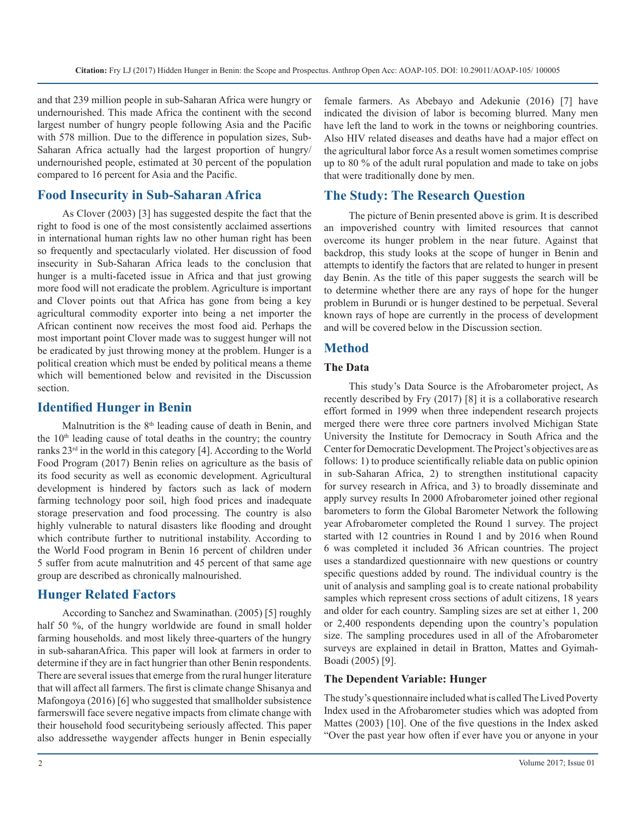and that 239 million people in sub-Saharan Africa were hungry or undernourished. This made Africa the continent with the second largest number of hungry people following Asia and the Pacific with 578 million. Due to the difference in population sizes, Sub-Saharan Africa actually had the largest proportion of hungry/ undernourished people, estimated at 30 percent of the population compared to 16 percent for Asia and the Pacific.

# **Food Insecurity in Sub-Saharan Africa**

As Clover (2003) [3] has suggested despite the fact that the right to food is one of the most consistently acclaimed assertions in international human rights law no other human right has been so frequently and spectacularly violated. Her discussion of food insecurity in Sub-Saharan Africa leads to the conclusion that hunger is a multi-faceted issue in Africa and that just growing more food will not eradicate the problem. Agriculture is important and Clover points out that Africa has gone from being a key agricultural commodity exporter into being a net importer the African continent now receives the most food aid. Perhaps the most important point Clover made was to suggest hunger will not be eradicated by just throwing money at the problem. Hunger is a political creation which must be ended by political means a theme which will bementioned below and revisited in the Discussion section.

## **Identified Hunger in Benin**

Malnutrition is the 8<sup>th</sup> leading cause of death in Benin, and the  $10<sup>th</sup>$  leading cause of total deaths in the country; the country ranks 23rd in the world in this category [4]. According to the World Food Program (2017) Benin relies on agriculture as the basis of its food security as well as economic development. Agricultural development is hindered by factors such as lack of modern farming technology poor soil, high food prices and inadequate storage preservation and food processing. The country is also highly vulnerable to natural disasters like flooding and drought which contribute further to nutritional instability. According to the World Food program in Benin 16 percent of children under 5 suffer from acute malnutrition and 45 percent of that same age group are described as chronically malnourished.

#### **Hunger Related Factors**

According to Sanchez and Swaminathan. (2005) [5] roughly half 50 %, of the hungry worldwide are found in small holder farming households. and most likely three-quarters of the hungry in sub-saharanAfrica. This paper will look at farmers in order to determine if they are in fact hungrier than other Benin respondents. There are several issues that emerge from the rural hunger literature that will affect all farmers. The first is climate change Shisanya and Mafongoya (2016) [6] who suggested that smallholder subsistence farmerswill face severe negative impacts from climate change with their household food securitybeing seriously affected. This paper also addressethe waygender affects hunger in Benin especially female farmers. As Abebayo and Adekunie (2016) [7] have indicated the division of labor is becoming blurred. Many men have left the land to work in the towns or neighboring countries. Also HIV related diseases and deaths have had a major effect on the agricultural labor force As a result women sometimes comprise up to 80 % of the adult rural population and made to take on jobs that were traditionally done by men.

# **The Study: The Research Question**

The picture of Benin presented above is grim. It is described an impoverished country with limited resources that cannot overcome its hunger problem in the near future. Against that backdrop, this study looks at the scope of hunger in Benin and attempts to identify the factors that are related to hunger in present day Benin. As the title of this paper suggests the search will be to determine whether there are any rays of hope for the hunger problem in Burundi or is hunger destined to be perpetual. Several known rays of hope are currently in the process of development and will be covered below in the Discussion section.

# **Method**

#### **The Data**

This study's Data Source is the Afrobarometer project, As recently described by Fry (2017) [8] it is a collaborative research effort formed in 1999 when three independent research projects merged there were three core partners involved Michigan State University the Institute for Democracy in South Africa and the Center for Democratic Development. The Project's objectives are as follows: 1) to produce scientifically reliable data on public opinion in sub-Saharan Africa, 2) to strengthen institutional capacity for survey research in Africa, and 3) to broadly disseminate and apply survey results In 2000 Afrobarometer joined other regional barometers to form the Global Barometer Network the following year Afrobarometer completed the Round 1 survey. The project started with 12 countries in Round 1 and by 2016 when Round 6 was completed it included 36 African countries. The project uses a standardized questionnaire with new questions or country specific questions added by round. The individual country is the unit of analysis and sampling goal is to create national probability samples which represent cross sections of adult citizens, 18 years and older for each country. Sampling sizes are set at either 1, 200 or 2,400 respondents depending upon the country's population size. The sampling procedures used in all of the Afrobarometer surveys are explained in detail in Bratton, Mattes and Gyimah-Boadi (2005) [9].

#### **The Dependent Variable: Hunger**

The study's questionnaire included what is called The Lived Poverty Index used in the Afrobarometer studies which was adopted from Mattes (2003) [10]. One of the five questions in the Index asked "Over the past year how often if ever have you or anyone in your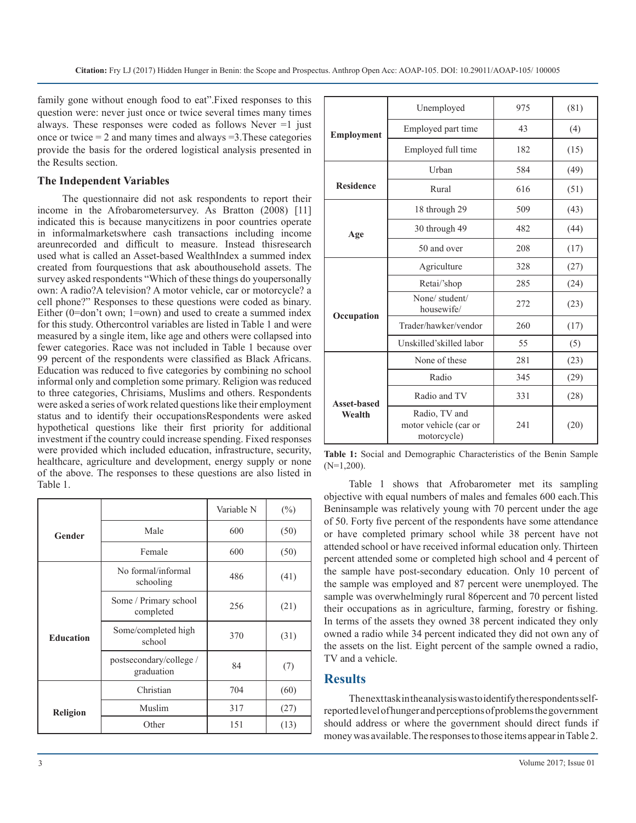family gone without enough food to eat".Fixed responses to this question were: never just once or twice several times many times always. These responses were coded as follows Never =1 just once or twice  $= 2$  and many times and always  $= 3$ . These categories provide the basis for the ordered logistical analysis presented in the Results section.

#### **The Independent Variables**

The questionnaire did not ask respondents to report their income in the Afrobarometersurvey. As Bratton (2008) [11] indicated this is because manycitizens in poor countries operate in informalmarketswhere cash transactions including income areunrecorded and difficult to measure. Instead thisresearch used what is called an Asset-based WealthIndex a summed index created from fourquestions that ask abouthousehold assets. The survey asked respondents "Which of these things do youpersonally own: A radio?A television? A motor vehicle, car or motorcycle? a cell phone?" Responses to these questions were coded as binary. Either (0=don't own; 1=own) and used to create a summed index for this study. Othercontrol variables are listed in Table 1 and were measured by a single item, like age and others were collapsed into fewer categories. Race was not included in Table 1 because over 99 percent of the respondents were classified as Black Africans. Education was reduced to five categories by combining no school informal only and completion some primary. Religion was reduced to three categories, Chrisiams, Muslims and others. Respondents were asked a series of work related questions like their employment status and to identify their occupationsRespondents were asked hypothetical questions like their first priority for additional investment if the country could increase spending. Fixed responses were provided which included education, infrastructure, security, healthcare, agriculture and development, energy supply or none of the above. The responses to these questions are also listed in Table 1.

|                  |                                       | Variable N | $(\%)$ |
|------------------|---------------------------------------|------------|--------|
| Gender           | Male                                  | 600        | (50)   |
|                  | Female<br>600                         |            | (50)   |
|                  | No formal/informal<br>schooling       | 486        | (41)   |
|                  | Some / Primary school<br>completed    | 256        | (21)   |
| <b>Education</b> | Some/completed high<br>school         | 370        | (31)   |
|                  | postsecondary/college /<br>graduation | 84         | (7)    |
|                  | Christian                             | 704        | (60)   |
| Religion         | Muslim                                | 317        | (27)   |
|                  | Other                                 | 151        | (13)   |

|                    | Unemployed                                            | 975 | (81) |
|--------------------|-------------------------------------------------------|-----|------|
| <b>Employment</b>  | Employed part time                                    | 43  | (4)  |
|                    | Employed full time                                    | 182 | (15) |
|                    | Urban                                                 | 584 | (49) |
| <b>Residence</b>   | Rural                                                 | 616 | (51) |
|                    | 18 through 29                                         | 509 | (43) |
| Age                | 30 through 49                                         | 482 | (44) |
|                    | 50 and over                                           | 208 | (17) |
|                    | Agriculture                                           | 328 | (27) |
|                    | Retai/'shop                                           | 285 | (24) |
|                    | None/student/<br>housewife/                           | 272 | (23) |
| Occupation         | Trader/hawker/vendor                                  | 260 | (17) |
|                    | Unskilled'skilled labor                               | 55  | (5)  |
|                    | None of these                                         | 281 | (23) |
|                    | Radio                                                 | 345 | (29) |
| <b>Asset-based</b> | Radio and TV                                          | 331 | (28) |
| Wealth             | Radio, TV and<br>motor vehicle (car or<br>motorcycle) | 241 | (20) |

**Table 1:** Social and Demographic Characteristics of the Benin Sample (N=1,200).

Table 1 shows that Afrobarometer met its sampling objective with equal numbers of males and females 600 each.This Beninsample was relatively young with 70 percent under the age of 50. Forty five percent of the respondents have some attendance or have completed primary school while 38 percent have not attended school or have received informal education only. Thirteen percent attended some or completed high school and 4 percent of the sample have post-secondary education. Only 10 percent of the sample was employed and 87 percent were unemployed. The sample was overwhelmingly rural 86percent and 70 percent listed their occupations as in agriculture, farming, forestry or fishing. In terms of the assets they owned 38 percent indicated they only owned a radio while 34 percent indicated they did not own any of the assets on the list. Eight percent of the sample owned a radio, TV and a vehicle.

### **Results**

The next task in the analysis was to identify the respondents selfreported level of hunger and perceptions of problems the government should address or where the government should direct funds if money was available. The responses to those items appear in Table 2.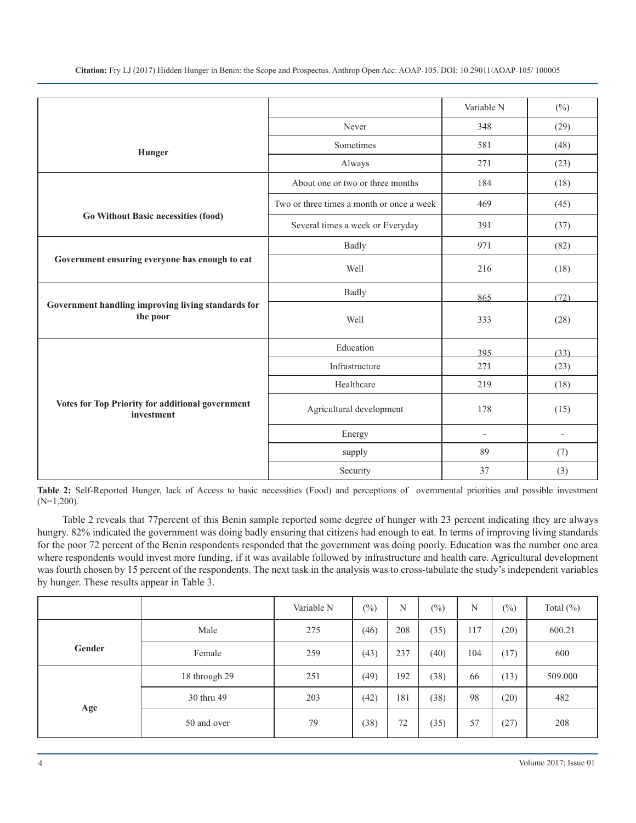**Citation:** Fry LJ (2017) Hidden Hunger in Benin: the Scope and Prospectus. Anthrop Open Acc: AOAP-105. DOI: 10.29011/AOAP-105/ 100005

|                                                                |                                           | Variable N               | $(\% )$                  |
|----------------------------------------------------------------|-------------------------------------------|--------------------------|--------------------------|
|                                                                | Never                                     | 348                      | (29)                     |
| Hunger                                                         | Sometimes                                 | 581                      | (48)                     |
|                                                                | Always                                    | 271                      | (23)                     |
|                                                                | About one or two or three months          | 184                      | (18)                     |
|                                                                | Two or three times a month or once a week | 469                      | (45)                     |
| Go Without Basic necessities (food)                            | Several times a week or Everyday          | 391                      | (37)                     |
|                                                                | <b>Badly</b>                              | 971                      | (82)                     |
| Government ensuring everyone has enough to eat                 | Well                                      | 216                      | (18)                     |
|                                                                | <b>Badly</b>                              | 865                      | (72)                     |
| Government handling improving living standards for<br>the poor | Well                                      | 333                      | (28)                     |
|                                                                | Education                                 | 395                      | (33)                     |
|                                                                | Infrastructure                            | 271                      | (23)                     |
|                                                                | Healthcare                                | 219                      | (18)                     |
| Votes for Top Priority for additional government<br>investment | Agricultural development                  | 178                      | (15)                     |
|                                                                | Energy                                    | $\overline{\phantom{a}}$ | $\overline{\phantom{a}}$ |
|                                                                | supply                                    | 89                       | (7)                      |
|                                                                | Security                                  | 37                       | (3)                      |

**Table 2:** Self-Reported Hunger, lack of Access to basic necessities (Food) and perceptions of overnmental priorities and possible investment (N=1,200).

Table 2 reveals that 77percent of this Benin sample reported some degree of hunger with 23 percent indicating they are always hungry. 82% indicated the government was doing badly ensuring that citizens had enough to eat. In terms of improving living standards for the poor 72 percent of the Benin respondents responded that the government was doing poorly. Education was the number one area where respondents would invest more funding, if it was available followed by infrastructure and health care. Agricultural development was fourth chosen by 15 percent of the respondents. The next task in the analysis was to cross-tabulate the study's independent variables by hunger. These results appear in Table 3.

|        |               | Variable N | $(\%)$ | N   | $(\%)$ | N   | $(\%)$ | Total $(\%)$ |
|--------|---------------|------------|--------|-----|--------|-----|--------|--------------|
|        | Male          | 275        | (46)   | 208 | (35)   | 117 | (20)   | 600.21       |
| Gender | Female        | 259        | (43)   | 237 | (40)   | 104 | (17)   | 600          |
|        | 18 through 29 | 251        | (49)   | 192 | (38)   | 66  | (13)   | 509.000      |
| Age    | 30 thru 49    | 203        | (42)   | 181 | (38)   | 98  | (20)   | 482          |
|        | 50 and over   | 79         | (38)   | 72  | (35)   | 57  | (27)   | 208          |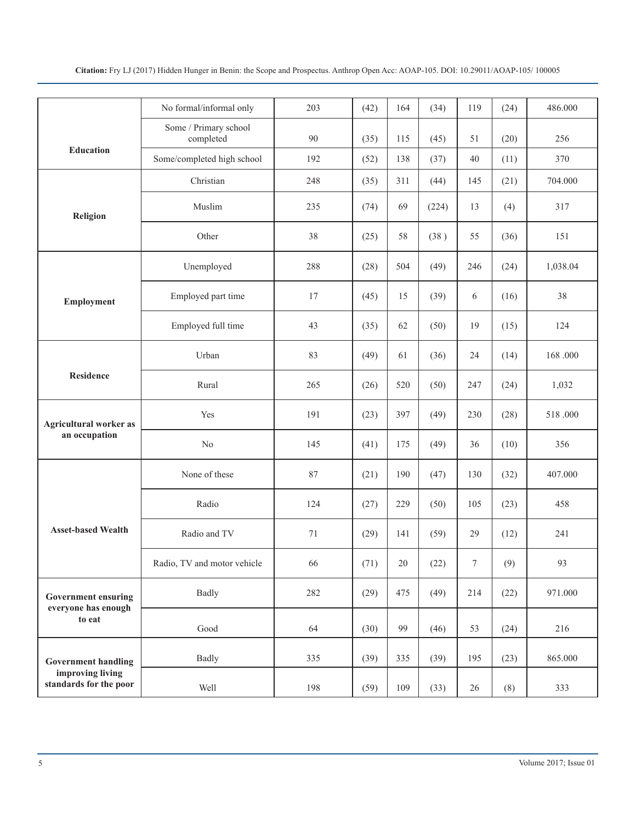|                                                             | No formal/informal only            | 203 | (42) | 164 | (34)  | 119    | (24) | 486.000  |
|-------------------------------------------------------------|------------------------------------|-----|------|-----|-------|--------|------|----------|
|                                                             | Some / Primary school<br>completed | 90  | (35) | 115 | (45)  | 51     | (20) | 256      |
| <b>Education</b>                                            | Some/completed high school         | 192 | (52) | 138 | (37)  | 40     | (11) | 370      |
|                                                             | Christian                          | 248 | (35) | 311 | (44)  | 145    | (21) | 704.000  |
| Religion                                                    | Muslim                             | 235 | (74) | 69  | (224) | 13     | (4)  | 317      |
|                                                             | Other                              | 38  | (25) | 58  | (38)  | 55     | (36) | 151      |
|                                                             | Unemployed                         | 288 | (28) | 504 | (49)  | 246    | (24) | 1,038.04 |
| Employment                                                  | Employed part time                 | 17  | (45) | 15  | (39)  | 6      | (16) | 38       |
|                                                             | Employed full time                 | 43  | (35) | 62  | (50)  | 19     | (15) | 124      |
|                                                             | Urban                              | 83  | (49) | 61  | (36)  | 24     | (14) | 168.000  |
| <b>Residence</b>                                            | Rural                              | 265 | (26) | 520 | (50)  | 247    | (24) | 1,032    |
| <b>Agricultural worker as</b><br>an occupation              | Yes                                | 191 | (23) | 397 | (49)  | 230    | (28) | 518.000  |
|                                                             | No                                 | 145 | (41) | 175 | (49)  | 36     | (10) | 356      |
|                                                             | None of these                      | 87  | (21) | 190 | (47)  | 130    | (32) | 407.000  |
|                                                             | Radio                              | 124 | (27) | 229 | (50)  | 105    | (23) | 458      |
| <b>Asset-based Wealth</b>                                   | Radio and TV                       | 71  | (29) | 141 | (59)  | 29     | (12) | 241      |
|                                                             | Radio, TV and motor vehicle        | 66  | (71) | 20  | (22)  | 7      | (9)  | 93       |
| <b>Government ensuring</b><br>everyone has enough<br>to eat | <b>Badly</b>                       | 282 | (29) | 475 | (49)  | 214    | (22) | 971.000  |
|                                                             | Good                               | 64  | (30) | 99  | (46)  | 53     | (24) | 216      |
| <b>Government handling</b>                                  | <b>Badly</b>                       | 335 | (39) | 335 | (39)  | 195    | (23) | 865.000  |
| improving living<br>standards for the poor                  | Well                               | 198 | (59) | 109 | (33)  | $26\,$ | (8)  | 333      |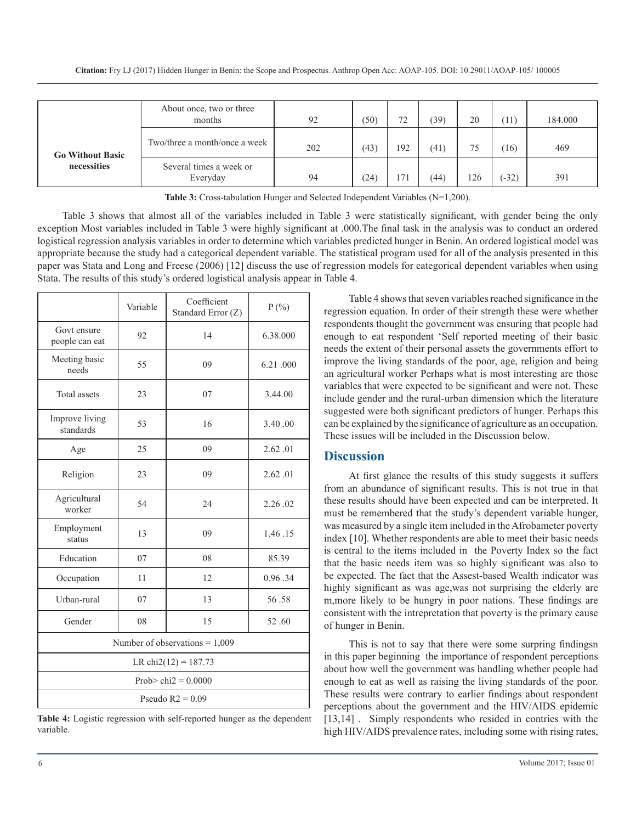|                                        | About once, two or three<br>months  | 92  | (50) | 72<br>. <u>.</u> | (39) | 20  | Ί1)     | 184.000 |
|----------------------------------------|-------------------------------------|-----|------|------------------|------|-----|---------|---------|
| <b>Go Without Basic</b><br>necessities | Two/three a month/once a week       | 202 | (43) | 192              | (41) | 75  | 16)     | 469     |
|                                        | Several times a week or<br>Everyday | 94  | (24) | 17 <sup>2</sup>  | (44) | 126 | $(-32)$ | 391     |

**Table 3:** Cross-tabulation Hunger and Selected Independent Variables (N=1,200).

Table 3 shows that almost all of the variables included in Table 3 were statistically significant, with gender being the only exception Most variables included in Table 3 were highly significant at .000.The final task in the analysis was to conduct an ordered logistical regression analysis variables in order to determine which variables predicted hunger in Benin. An ordered logistical model was appropriate because the study had a categorical dependent variable. The statistical program used for all of the analysis presented in this paper was Stata and Long and Freese (2006) [12] discuss the use of regression models for categorical dependent variables when using Stata. The results of this study's ordered logistical analysis appear in Table 4.

|                                  | Variable          | Coefficient<br>Standard Error (Z) | $P(\% )$ |  |  |  |  |
|----------------------------------|-------------------|-----------------------------------|----------|--|--|--|--|
| Govt ensure<br>people can eat    | 92                | 14                                | 6.38.000 |  |  |  |  |
| Meeting basic<br>needs           | 55                | 09                                | 6.21.000 |  |  |  |  |
| <b>Total</b> assets              | 23                | 07                                | 3.44.00  |  |  |  |  |
| Improve living<br>standards      | 53                | 16                                | 3.40.00  |  |  |  |  |
| Age                              | 25                | 09                                | 2.62.01  |  |  |  |  |
| Religion                         | 23                | 09                                | 2.62.01  |  |  |  |  |
| Agricultural<br>worker           | 54                | 24                                | 2.26.02  |  |  |  |  |
| Employment<br>status             | 13                | 09<br>1.46.15                     |          |  |  |  |  |
| Education                        | 07                | 08                                | 85.39    |  |  |  |  |
| Occupation                       | 11                | 12                                | 0.96.34  |  |  |  |  |
| Urban-rural                      | 07                | 13                                | 56.58    |  |  |  |  |
| Gender                           | 08<br>15<br>52.60 |                                   |          |  |  |  |  |
| Number of observations = $1,009$ |                   |                                   |          |  |  |  |  |
| LR chi2(12) = $187.73$           |                   |                                   |          |  |  |  |  |
| Prob> chi $2 = 0.0000$           |                   |                                   |          |  |  |  |  |
| Pseudo $R2 = 0.09$               |                   |                                   |          |  |  |  |  |

**Table 4:** Logistic regression with self-reported hunger as the dependent variable.

Table 4 shows that seven variables reached significance in the regression equation. In order of their strength these were whether respondents thought the government was ensuring that people had enough to eat respondent 'Self reported meeting of their basic needs the extent of their personal assets the governments effort to improve the living standards of the poor, age, religion and being an agricultural worker Perhaps what is most interesting are those variables that were expected to be significant and were not. These include gender and the rural-urban dimension which the literature suggested were both significant predictors of hunger. Perhaps this can be explained by the significance of agriculture as an occupation. These issues will be included in the Discussion below.

#### **Discussion**

At first glance the results of this study suggests it suffers from an abundance of significant results. This is not true in that these results should have been expected and can be interpreted. It must be remembered that the study's dependent variable hunger, was measured by a single item included in the Afrobameter poverty index [10]. Whether respondents are able to meet their basic needs is central to the items included in the Poverty Index so the fact that the basic needs item was so highly significant was also to be expected. The fact that the Assest-based Wealth indicator was highly significant as was age,was not surprising the elderly are m,more likely to be hungry in poor nations. These findings are consistent with the intrepretation that poverty is the primary cause of hunger in Benin.

This is not to say that there were some surpring findingsn in this paper beginning the importance of respondent perceptions about how well the government was handling whether people had enough to eat as well as raising the living standards of the poor. These results were contrary to earlier findings about respondent perceptions about the government and the HIV/AIDS epidemic [13,14]. Simply respondents who resided in contries with the high HIV/AIDS prevalence rates, including some with rising rates,